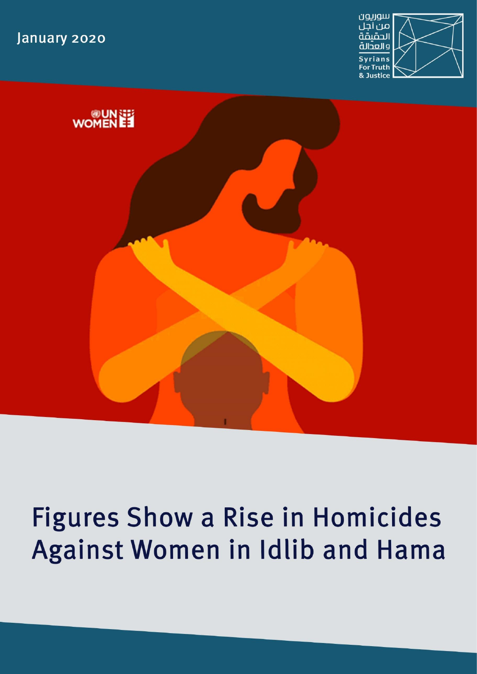January 2020





# **Figures Show a Rise in Homicides** Against Women in Idlib and Hama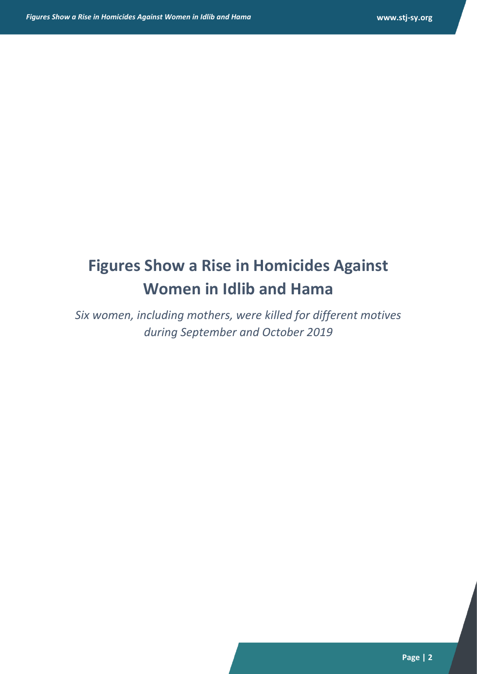# **Figures Show a Rise in Homicides Against Women in Idlib and Hama**

*Six women, including mothers, were killed for different motives during September and October 2019*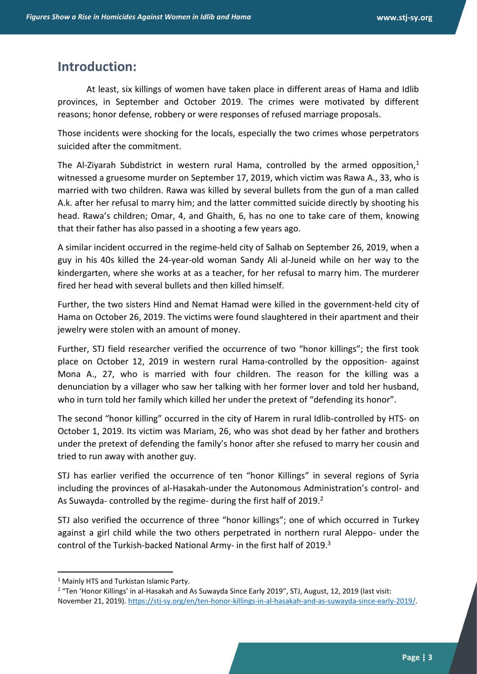#### **Introduction:**

At least, six killings of women have taken place in different areas of Hama and Idlib provinces, in September and October 2019. The crimes were motivated by different reasons; honor defense, robbery or were responses of refused marriage proposals.

Those incidents were shocking for the locals, especially the two crimes whose perpetrators suicided after the commitment.

The Al-Ziyarah Subdistrict in western rural Hama, controlled by the armed opposition.<sup>1</sup> witnessed a gruesome murder on September 17, 2019, which victim was Rawa A., 33, who is married with two children. Rawa was killed by several bullets from the gun of a man called A.k. after her refusal to marry him; and the latter committed suicide directly by shooting his head. Rawa's children; Omar, 4, and Ghaith, 6, has no one to take care of them, knowing that their father has also passed in a shooting a few years ago.

A similar incident occurred in the regime-held city of Salhab on September 26, 2019, when a guy in his 40s killed the 24-year-old woman Sandy Ali al-Juneid while on her way to the kindergarten, where she works at as a teacher, for her refusal to marry him. The murderer fired her head with several bullets and then killed himself.

Further, the two sisters Hind and Nemat Hamad were killed in the government-held city of Hama on October 26, 2019. The victims were found slaughtered in their apartment and their jewelry were stolen with an amount of money.

Further, STJ field researcher verified the occurrence of two "honor killings"; the first took place on October 12, 2019 in western rural Hama-controlled by the opposition- against Mona A., 27, who is married with four children. The reason for the killing was a denunciation by a villager who saw her talking with her former lover and told her husband, who in turn told her family which killed her under the pretext of "defending its honor".

The second "honor killing" occurred in the city of Harem in rural Idlib-controlled by HTS- on October 1, 2019. Its victim was Mariam, 26, who was shot dead by her father and brothers under the pretext of defending the family's honor after she refused to marry her cousin and tried to run away with another guy.

STJ has earlier verified the occurrence of ten "honor Killings" in several regions of Syria including the provinces of al-Hasakah-under the Autonomous Administration's control- and As Suwayda- controlled by the regime- during the first half of 2019.<sup>2</sup>

STJ also verified the occurrence of three "honor killings"; one of which occurred in Turkey against a girl child while the two others perpetrated in northern rural Aleppo- under the control of the Turkish-backed National Army- in the first half of 2019.<sup>3</sup>

<sup>&</sup>lt;sup>1</sup> Mainly HTS and Turkistan Islamic Party.

<sup>&</sup>lt;sup>2</sup> "Ten 'Honor Killings' in al-Hasakah and As Suwayda Since Early 2019", STJ, August, 12, 2019 (last visit: November 21, 2019). [https://stj-sy.org/en/ten-honor-killings-in-al-hasakah-and-as-suwayda-since-early-2019/.](https://stj-sy.org/en/ten-honor-killings-in-al-hasakah-and-as-suwayda-since-early-2019/)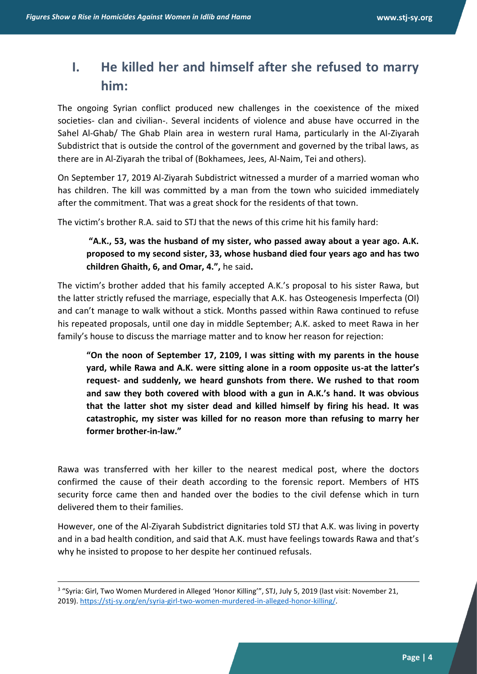# **I. He killed her and himself after she refused to marry him:**

The ongoing Syrian conflict produced new challenges in the coexistence of the mixed societies- clan and civilian-. Several incidents of violence and abuse have occurred in the Sahel Al-Ghab/ The Ghab Plain area in western rural Hama, particularly in the Al-Ziyarah Subdistrict that is outside the control of the government and governed by the tribal laws, as there are in Al-Ziyarah the tribal of (Bokhamees, Jees, Al-Naim, Tei and others).

On September 17, 2019 Al-Ziyarah Subdistrict witnessed a murder of a married woman who has children. The kill was committed by a man from the town who suicided immediately after the commitment. That was a great shock for the residents of that town.

The victim's brother R.A. said to STJ that the news of this crime hit his family hard:

**"A.K., 53, was the husband of my sister, who passed away about a year ago. A.K. proposed to my second sister, 33, whose husband died four years ago and has two children Ghaith, 6, and Omar, 4.",** he said**.**

The victim's brother added that his family accepted A.K.'s proposal to his sister Rawa, but the latter strictly refused the marriage, especially that A.K. has Osteogenesis Imperfecta (OI) and can't manage to walk without a stick. Months passed within Rawa continued to refuse his repeated proposals, until one day in middle September; A.K. asked to meet Rawa in her family's house to discuss the marriage matter and to know her reason for rejection:

**"On the noon of September 17, 2109, I was sitting with my parents in the house yard, while Rawa and A.K. were sitting alone in a room opposite us-at the latter's request- and suddenly, we heard gunshots from there. We rushed to that room and saw they both covered with blood with a gun in A.K.'s hand. It was obvious that the latter shot my sister dead and killed himself by firing his head. It was catastrophic, my sister was killed for no reason more than refusing to marry her former brother-in-law."**

Rawa was transferred with her killer to the nearest medical post, where the doctors confirmed the cause of their death according to the forensic report. Members of HTS security force came then and handed over the bodies to the civil defense which in turn delivered them to their families.

However, one of the Al-Ziyarah Subdistrict dignitaries told STJ that A.K. was living in poverty and in a bad health condition, and said that A.K. must have feelings towards Rawa and that's why he insisted to propose to her despite her continued refusals.

<sup>&</sup>lt;sup>3</sup> "Syria: Girl, Two Women Murdered in Alleged 'Honor Killing'", STJ, July 5, 2019 (last visit: November 21, 2019). [https://stj-sy.org/en/syria-girl-two-women-murdered-in-alleged-honor-killing/.](https://stj-sy.org/en/syria-girl-two-women-murdered-in-alleged-honor-killing/)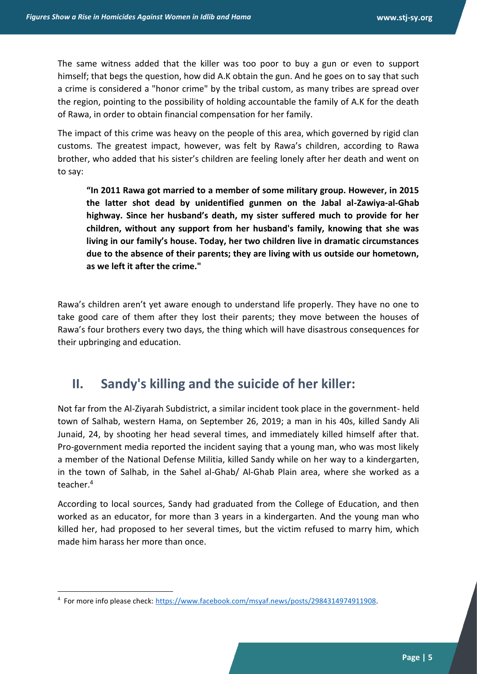The same witness added that the killer was too poor to buy a gun or even to support himself; that begs the question, how did A.K obtain the gun. And he goes on to say that such a crime is considered a "honor crime" by the tribal custom, as many tribes are spread over the region, pointing to the possibility of holding accountable the family of A.K for the death of Rawa, in order to obtain financial compensation for her family.

The impact of this crime was heavy on the people of this area, which governed by rigid clan customs. The greatest impact, however, was felt by Rawa's children, according to Rawa brother, who added that his sister's children are feeling lonely after her death and went on to say:

**"In 2011 Rawa got married to a member of some military group. However, in 2015 the latter shot dead by unidentified gunmen on the Jabal al-Zawiya-al-Ghab highway. Since her husband's death, my sister suffered much to provide for her children, without any support from her husband's family, knowing that she was living in our family's house. Today, her two children live in dramatic circumstances due to the absence of their parents; they are living with us outside our hometown, as we left it after the crime."**

Rawa's children aren't yet aware enough to understand life properly. They have no one to take good care of them after they lost their parents; they move between the houses of Rawa's four brothers every two days, the thing which will have disastrous consequences for their upbringing and education.

#### **II.** Sandy's killing and the suicide of her killer:

Not far from the Al-Ziyarah Subdistrict, a similar incident took place in the government- held town of Salhab, western Hama, on September 26, 2019; a man in his 40s, killed Sandy Ali Junaid, 24, by shooting her head several times, and immediately killed himself after that. Pro-government media reported the incident saying that a young man, who was most likely a member of the National Defense Militia, killed Sandy while on her way to a kindergarten, in the town of Salhab, in the Sahel al-Ghab/ Al-Ghab Plain area, where she worked as a teacher.<sup>4</sup>

According to local sources, Sandy had graduated from the College of Education, and then worked as an educator, for more than 3 years in a kindergarten. And the young man who killed her, had proposed to her several times, but the victim refused to marry him, which made him harass her more than once .

<sup>&</sup>lt;sup>4</sup> For more info please check: [https://www.facebook.com/msyaf.news/posts/2984314974911908.](https://www.facebook.com/msyaf.news/posts/2984314974911908)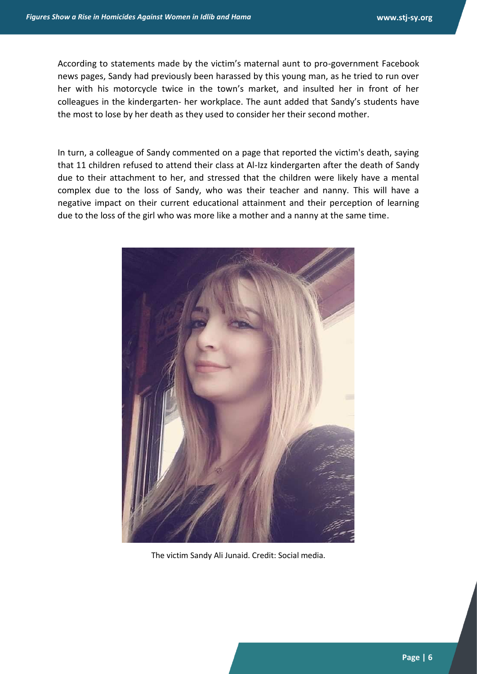According to statements made by the victim's maternal aunt to pro-government Facebook news pages, Sandy had previously been harassed by this young man, as he tried to run over her with his motorcycle twice in the town's market, and insulted her in front of her colleagues in the kindergarten- her workplace. The aunt added that Sandy's students have the most to lose by her death as they used to consider her their second mother.

In turn, a colleague of Sandy commented on a page that reported the victim's death, saying that 11 children refused to attend their class at Al-Izz kindergarten after the death of Sandy due to their attachment to her, and stressed that the children were likely have a mental complex due to the loss of Sandy, who was their teacher and nanny. This will have a negative impact on their current educational attainment and their perception of learning due to the loss of the girl who was more like a mother and a nanny at the same time.



The victim Sandy Ali Junaid. Credit: Social media.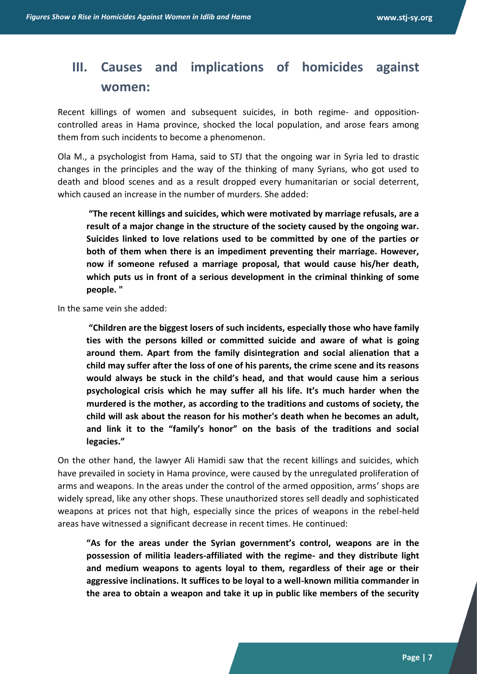## **III. Causes and implications of homicides against women:**

Recent killings of women and subsequent suicides, in both regime- and oppositioncontrolled areas in Hama province, shocked the local population, and arose fears among them from such incidents to become a phenomenon.

Ola M., a psychologist from Hama, said to STJ that the ongoing war in Syria led to drastic changes in the principles and the way of the thinking of many Syrians, who got used to death and blood scenes and as a result dropped every humanitarian or social deterrent, which caused an increase in the number of murders. She added:

**"The recent killings and suicides, which were motivated by marriage refusals, are a result of a major change in the structure of the society caused by the ongoing war. Suicides linked to love relations used to be committed by one of the parties or both of them when there is an impediment preventing their marriage. However, now if someone refused a marriage proposal, that would cause his/her death, which puts us in front of a serious development in the criminal thinking of some people. "**

In the same vein she added:

**"Children are the biggest losers of such incidents, especially those who have family ties with the persons killed or committed suicide and aware of what is going around them. Apart from the family disintegration and social alienation that a child may suffer after the loss of one of his parents, the crime scene and its reasons would always be stuck in the child's head, and that would cause him a serious psychological crisis which he may suffer all his life. It's much harder when the murdered is the mother, as according to the traditions and customs of society, the child will ask about the reason for his mother's death when he becomes an adult, and link it to the "family's honor" on the basis of the traditions and social legacies."**

On the other hand, the lawyer Ali Hamidi saw that the recent killings and suicides, which have prevailed in society in Hama province, were caused by the unregulated proliferation of arms and weapons. In the areas under the control of the armed opposition, arms' shops are widely spread, like any other shops. These unauthorized stores sell deadly and sophisticated weapons at prices not that high, especially since the prices of weapons in the rebel-held areas have witnessed a significant decrease in recent times. He continued:

**"As for the areas under the Syrian government's control, weapons are in the possession of militia leaders-affiliated with the regime- and they distribute light and medium weapons to agents loyal to them, regardless of their age or their aggressive inclinations. It suffices to be loyal to a well-known militia commander in the area to obtain a weapon and take it up in public like members of the security**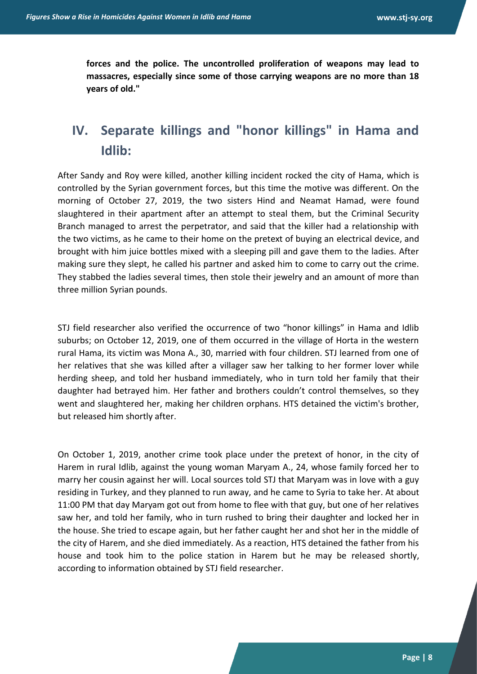**forces and the police. The uncontrolled proliferation of weapons may lead to massacres, especially since some of those carrying weapons are no more than 18 years of old."**

## **IV. Separate killings and "honor killings" in Hama and Idlib :**

After Sandy and Roy were killed, another killing incident rocked the city of Hama, which is controlled by the Syrian government forces, but this time the motive was different. On the morning of October 27, 2019, the two sisters Hind and Neamat Hamad, were found slaughtered in their apartment after an attempt to steal them, but the Criminal Security Branch managed to arrest the perpetrator, and said that the killer had a relationship with the two victims, as he came to their home on the pretext of buying an electrical device, and brought with him juice bottles mixed with a sleeping pill and gave them to the ladies. After making sure they slept, he called his partner and asked him to come to carry out the crime. They stabbed the ladies several times, then stole their jewelry and an amount of more than three million Syrian pounds.

STJ field researcher also verified the occurrence of two "honor killings" in Hama and Idlib suburbs; on October 12, 2019, one of them occurred in the village of Horta in the western rural Hama, its victim was Mona A., 30, married with four children. STJ learned from one of her relatives that she was killed after a villager saw her talking to her former lover while herding sheep, and told her husband immediately, who in turn told her family that their daughter had betrayed him. Her father and brothers couldn't control themselves, so they went and slaughtered her, making her children orphans. HTS detained the victim's brother, but released him shortly after.

On October 1, 2019, another crime took place under the pretext of honor, in the city of Harem in rural Idlib, against the young woman Maryam A., 24, whose family forced her to marry her cousin against her will. Local sources told STJ that Maryam was in love with a guy residing in Turkey, and they planned to run away, and he came to Syria to take her. At about 11:00 PM that day Maryam got out from home to flee with that guy, but one of her relatives saw her, and told her family, who in turn rushed to bring their daughter and locked her in the house. She tried to escape again, but her father caught her and shot her in the middle of the city of Harem, and she died immediately. As a reaction, HTS detained the father from his house and took him to the police station in Harem but he may be released shortly, according to information obtained by STJ field researcher.